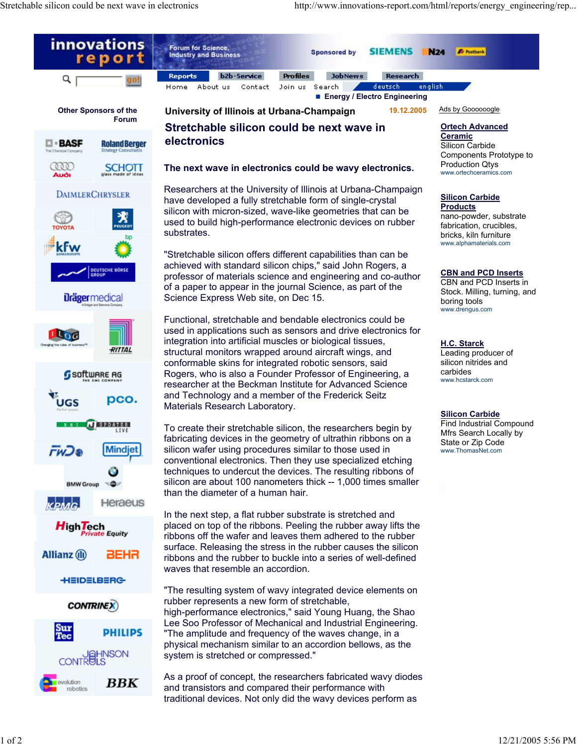